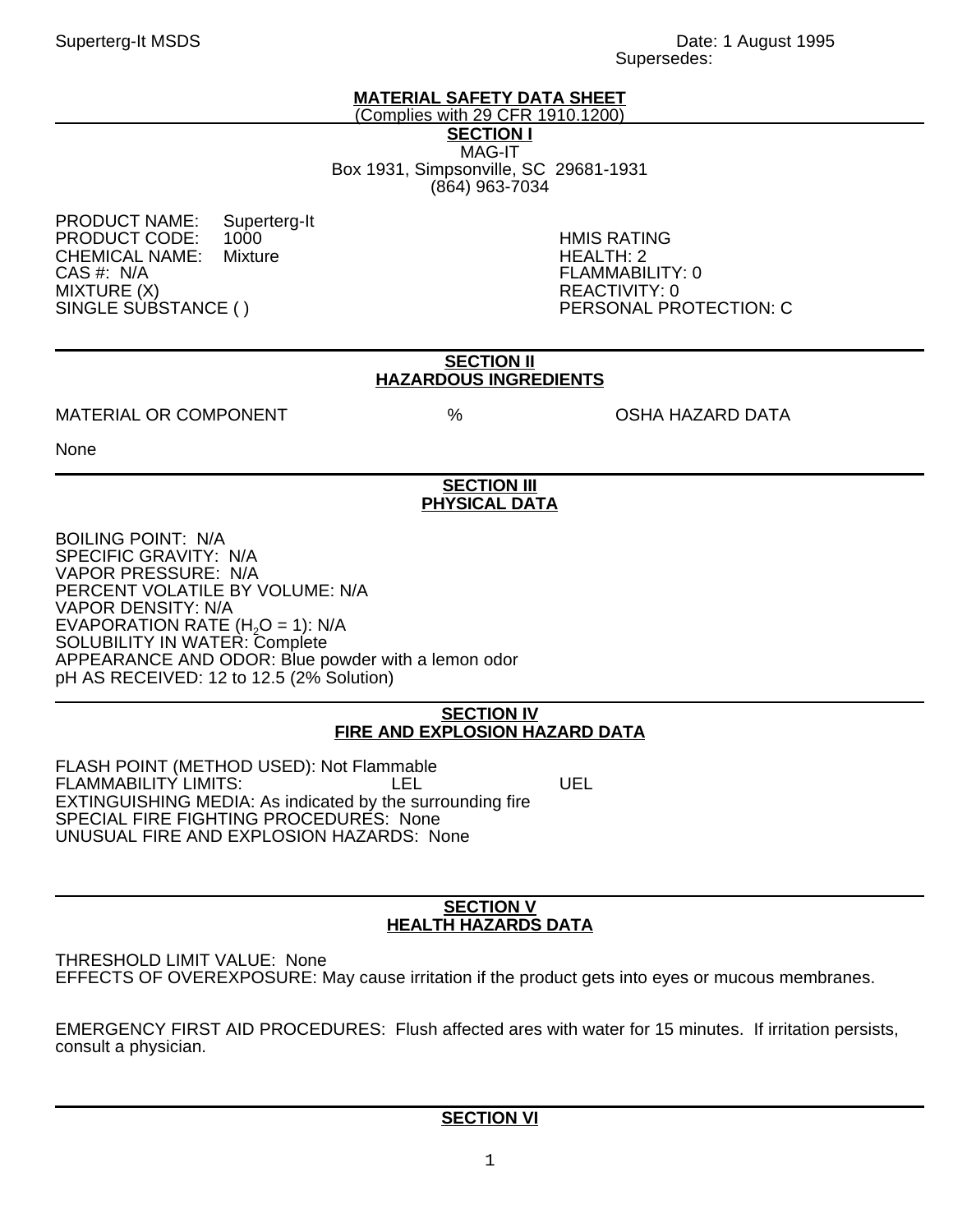# **MATERIAL SAFETY DATA SHEET**

(Complies with 29 CFR 1910.1200)

**SECTION I** MAG-IT

Box 1931, Simpsonville, SC 29681-1931 (864) 963-7034

PRODUCT NAME: Superterg-It<br>PRODUCT CODE: 1000 PRODUCT CODE: 1000 HMIS RATING CHEMICAL NAME:<br>CAS #: N/A CAS #: N/A FLAMMABILITY: 0 MIXTURE (X)<br>SINGLE SUBSTANCE ( ) PERSONAL PR

PERSONAL PROTECTION: C

### **SECTION II HAZARDOUS INGREDIENTS**

## MATERIAL OR COMPONENT  $\%$  % the OSHA HAZARD DATA

None

## **SECTION III PHYSICAL DATA**

BOILING POINT: N/A SPECIFIC GRAVITY: N/A VAPOR PRESSURE: N/A PERCENT VOLATILE BY VOLUME: N/A VAPOR DENSITY: N/A EVAPORATION RATE  $(H<sub>2</sub>O = 1)$ : N/A SOLUBILITY IN WATER: Complete APPEARANCE AND ODOR: Blue powder with a lemon odor pH AS RECEIVED: 12 to 12.5 (2% Solution)

### **SECTION IV FIRE AND EXPLOSION HAZARD DATA**

FLASH POINT (METHOD USED): Not Flammable FLAMMABILITY LIMITS: The LEL LEL UEL EXTINGUISHING MEDIA: As indicated by the surrounding fire SPECIAL FIRE FIGHTING PROCEDURES: None UNUSUAL FIRE AND EXPLOSION HAZARDS: None

#### **SECTION V HEALTH HAZARDS DATA**

THRESHOLD LIMIT VALUE: None EFFECTS OF OVEREXPOSURE: May cause irritation if the product gets into eyes or mucous membranes.

EMERGENCY FIRST AID PROCEDURES: Flush affected ares with water for 15 minutes. If irritation persists, consult a physician.

# **SECTION VI**